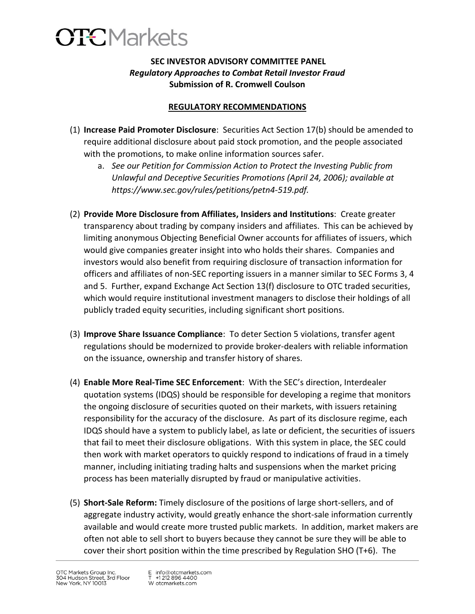

## **SEC INVESTOR ADVISORY COMMITTEE PANEL** *Regulatory Approaches to Combat Retail Investor Fraud* **Submission of R. Cromwell Coulson**

## **REGULATORY RECOMMENDATIONS**

- (1) **Increase Paid Promoter Disclosure**: Securities Act Section 17(b) should be amended to require additional disclosure about paid stock promotion, and the people associated with the promotions, to make online information sources safer.
	- a. *See our Petition for Commission Action to Protect the Investing Public from Unlawful and Deceptive Securities Promotions (April 24, 2006); available at https://www.sec.gov/rules/petitions/petn4-519.pdf.*
- (2) **Provide More Disclosure from Affiliates, Insiders and Institutions**: Create greater transparency about trading by company insiders and affiliates. This can be achieved by limiting anonymous Objecting Beneficial Owner accounts for affiliates of issuers, which would give companies greater insight into who holds their shares. Companies and investors would also benefit from requiring disclosure of transaction information for officers and affiliates of non-SEC reporting issuers in a manner similar to SEC Forms 3, 4 and 5. Further, expand Exchange Act Section 13(f) disclosure to OTC traded securities, which would require institutional investment managers to disclose their holdings of all publicly traded equity securities, including significant short positions.
- (3) **Improve Share Issuance Compliance**: To deter Section 5 violations, transfer agent regulations should be modernized to provide broker-dealers with reliable information on the issuance, ownership and transfer history of shares.
- (4) **Enable More Real-Time SEC Enforcement**: With the SEC's direction, Interdealer quotation systems (IDQS) should be responsible for developing a regime that monitors the ongoing disclosure of securities quoted on their markets, with issuers retaining responsibility for the accuracy of the disclosure. As part of its disclosure regime, each IDQS should have a system to publicly label, as late or deficient, the securities of issuers that fail to meet their disclosure obligations. With this system in place, the SEC could then work with market operators to quickly respond to indications of fraud in a timely manner, including initiating trading halts and suspensions when the market pricing process has been materially disrupted by fraud or manipulative activities.
- (5) **Short-Sale Reform:** Timely disclosure of the positions of large short-sellers, and of aggregate industry activity, would greatly enhance the short-sale information currently available and would create more trusted public markets. In addition, market makers are often not able to sell short to buyers because they cannot be sure they will be able to cover their short position within the time prescribed by Regulation SHO (T+6). The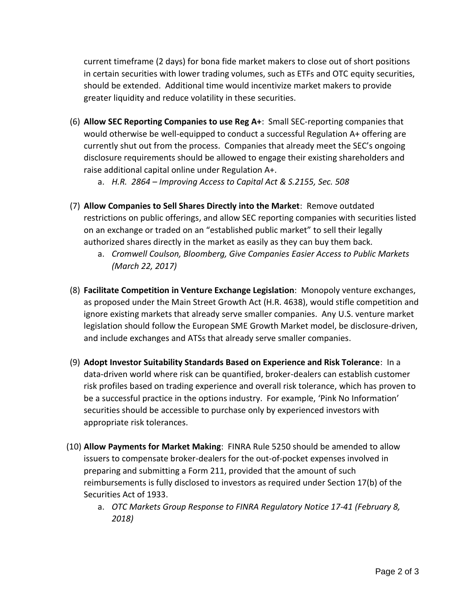current timeframe (2 days) for bona fide market makers to close out of short positions in certain securities with lower trading volumes, such as ETFs and OTC equity securities, should be extended. Additional time would incentivize market makers to provide greater liquidity and reduce volatility in these securities.

- (6) **Allow SEC Reporting Companies to use Reg A+**: Small SEC-reporting companies that would otherwise be well-equipped to conduct a successful Regulation A+ offering are currently shut out from the process. Companies that already meet the SEC's ongoing disclosure requirements should be allowed to engage their existing shareholders and raise additional capital online under Regulation A+.
	- a. *H.R. 2864 – Improving Access to Capital Act & S.2155, Sec. 508*
- (7) **Allow Companies to Sell Shares Directly into the Market**: Remove outdated restrictions on public offerings, and allow SEC reporting companies with securities listed on an exchange or traded on an "established public market" to sell their legally authorized shares directly in the market as easily as they can buy them back.
	- a. *Cromwell Coulson, Bloomberg, Give Companies Easier Access to Public Markets (March 22, 2017)*
- (8) **Facilitate Competition in Venture Exchange Legislation**: Monopoly venture exchanges, as proposed under the Main Street Growth Act (H.R. 4638), would stifle competition and ignore existing markets that already serve smaller companies. Any U.S. venture market legislation should follow the European SME Growth Market model, be disclosure-driven, and include exchanges and ATSs that already serve smaller companies.
- (9) **Adopt Investor Suitability Standards Based on Experience and Risk Tolerance**: In a data-driven world where risk can be quantified, broker-dealers can establish customer risk profiles based on trading experience and overall risk tolerance, which has proven to be a successful practice in the options industry. For example, 'Pink No Information' securities should be accessible to purchase only by experienced investors with appropriate risk tolerances.
- (10) **Allow Payments for Market Making**: FINRA Rule 5250 should be amended to allow issuers to compensate broker-dealers for the out-of-pocket expenses involved in preparing and submitting a Form 211, provided that the amount of such reimbursements is fully disclosed to investors as required under Section 17(b) of the Securities Act of 1933.
	- a. *OTC Markets Group Response to FINRA Regulatory Notice 17-41 (February 8, 2018)*